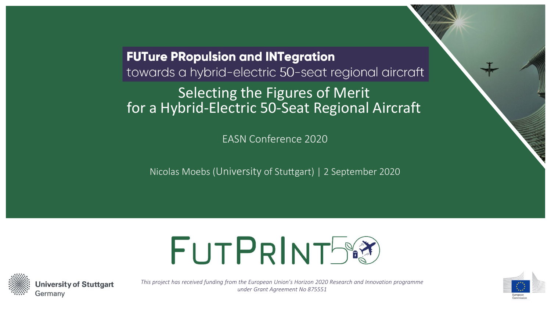**FUTure PRopulsion and INTegration** towards a hybrid-electric 50-seat regional aircraft Selecting the Figures of Merit for a Hybrid-Electric 50-Seat Regional Aircraft

EASN Conference 2020

Nicolas Moebs (University of Stuttgart) | 2 September 2020





*This project has received funding from the European Union's Horizon 2020 Research and Innovation programme under Grant Agreement No 875551*

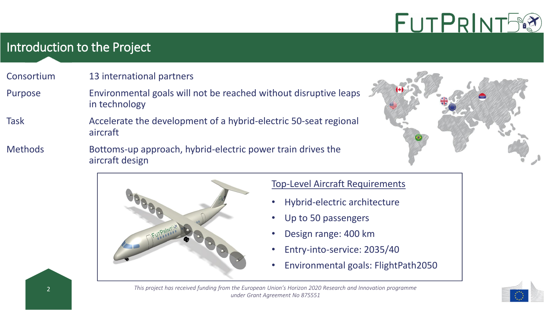## Introduction to the Project

#### Consortium 13 international partners

- Purpose Environmental goals will not be reached without disruptive leaps in technology
- Task Accelerate the development of a hybrid-electric 50-seat regional aircraft
- Methods Bottoms-up approach, hybrid-electric power train drives the aircraft design





#### Top-Level Aircraft Requirements

- Hybrid-electric architecture
- Up to 50 passengers
- Design range: 400 km
- Entry-into-service: 2035/40
- Environmental goals: FlightPath2050



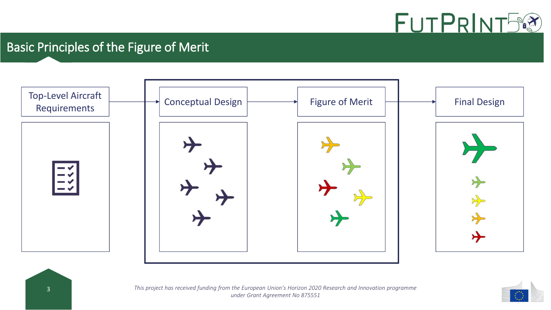

# Basic Principles of the Figure of Merit



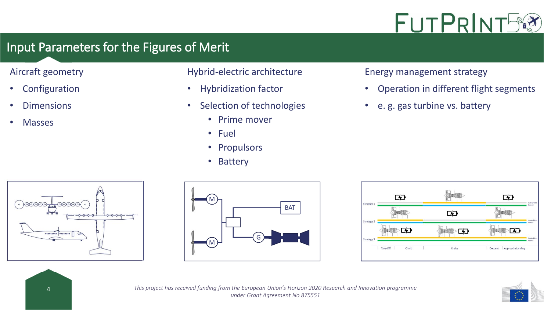

# Input Parameters for the Figures of Merit

#### Aircraft geometry

- Configuration
- Dimensions
- Masses

#### Hybrid-electric architecture

- Hybridization factor
- Selection of technologies
	- Prime mover
	- Fuel
	- Propulsors
	- Battery

Energy management strategy

- Operation in different flight segments
- e. g. gas turbine vs. battery









4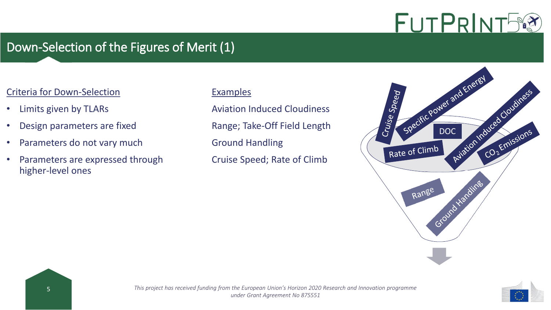# Down-Selection of the Figures of Merit (1)

#### Criteria for Down-Selection

- Limits given by TLARs
- Design parameters are fixed
- Parameters do not vary much
- Parameters are expressed through higher-level ones

#### Examples

Aviation Induced Cloudiness Range; Take-Off Field Length Ground Handling Cruise Speed; Rate of Climb



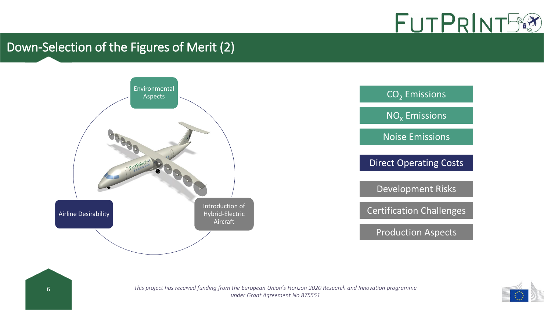

# Down-Selection of the Figures of Merit (2)





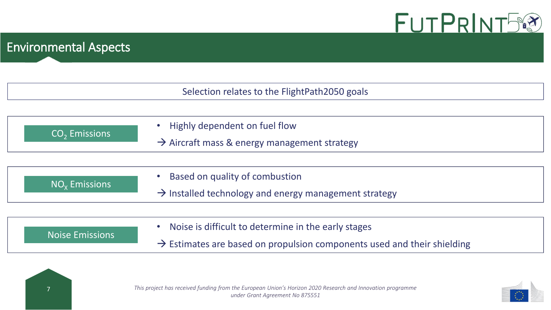

# Environmental Aspects

|                        | Selection relates to the FlightPath2050 goals                                                       |
|------------------------|-----------------------------------------------------------------------------------------------------|
| $CO2$ Emissions        | Highly dependent on fuel flow<br>$\rightarrow$ Aircraft mass & energy management strategy           |
| $NOx$ Emissions        | Based on quality of combustion<br>$\rightarrow$ Installed technology and energy management strategy |
|                        | Noise is difficult to determine in the early stages                                                 |
| <b>Noise Emissions</b> | $\rightarrow$ Estimates are based on propulsion components used and their shielding                 |



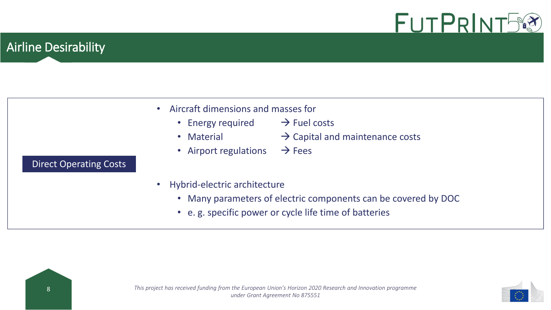

## Airline Desirability

Direct Operating Costs

| Aircraft dimensions and masses for |
|------------------------------------|
|------------------------------------|

- Energy required  $\rightarrow$  Fuel costs
- 
- Material  $\rightarrow$  Capital and maintenance costs
- Airport regulations  $\rightarrow$  Fees
- Hybrid-electric architecture
	- Many parameters of electric components can be covered by DOC
	- e. g. specific power or cycle life time of batteries



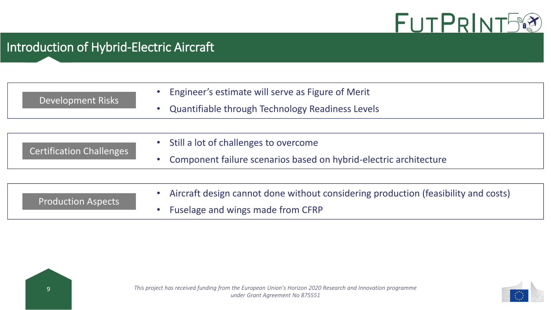

# Introduction of Hybrid-Electric Aircraft

| Development Risks               | Engineer's estimate will serve as Figure of Merit                                  |
|---------------------------------|------------------------------------------------------------------------------------|
|                                 | Quantifiable through Technology Readiness Levels                                   |
|                                 |                                                                                    |
| <b>Certification Challenges</b> | Still a lot of challenges to overcome                                              |
|                                 | Component failure scenarios based on hybrid-electric architecture<br>$\bullet$     |
|                                 |                                                                                    |
| <b>Production Aspects</b>       | Aircraft design cannot done without considering production (feasibility and costs) |
|                                 | Fuselage and wings made from CFRP                                                  |



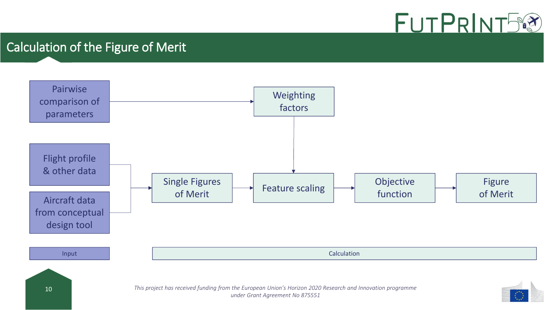

## Calculation of the Figure of Merit

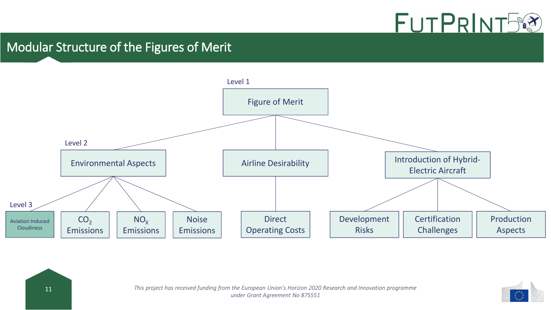

#### Modular Structure of the Figures of Merit



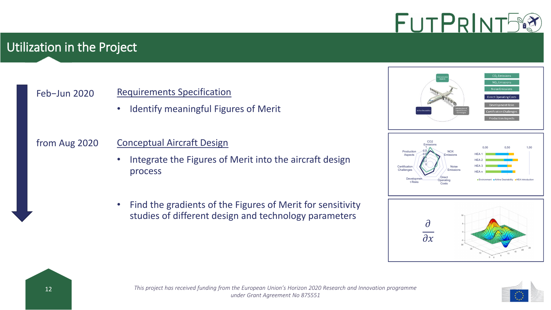## Utilization in the Project

#### Feb−Jun 2020

#### Requirements Specification

• Identify meaningful Figures of Merit

#### from Aug 2020

#### Conceptual Aircraft Design

- Integrate the Figures of Merit into the aircraft design process
- Find the gradients of the Figures of Merit for sensitivity studies of different design and technology parameters







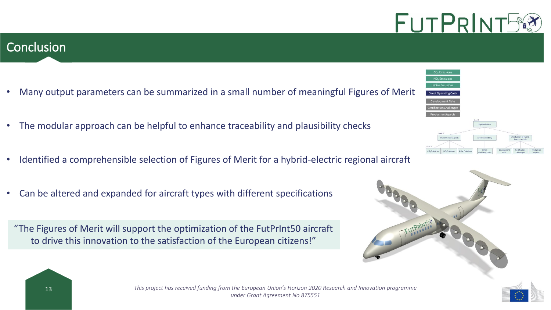#### **Conclusion**

- Many output parameters can be summarized in a small number of meaningful Figures of Merit
- The modular approach can be helpful to enhance traceability and plausibility checks
- Identified a comprehensible selection of Figures of Merit for a hybrid-electric regional aircraft
- Can be altered and expanded for aircraft types with different specifications

"The Figures of Merit will support the optimization of the FutPrInt50 aircraft to drive this innovation to the satisfaction of the European citizens!"







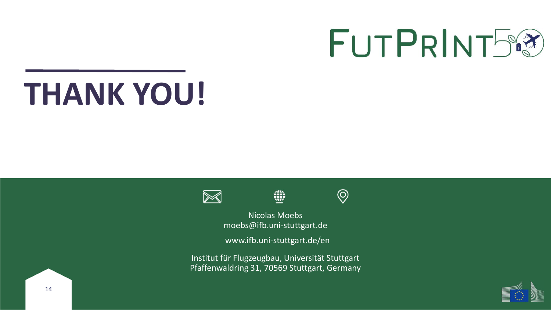# **THANK YOU!**





 $\circledcirc$ 

Nicolas Moebs moebs@ifb.uni-stuttgart.de

₩

www.ifb.uni-stuttgart.de/en

Institut für Flugzeugbau, Universität Stuttgart Pfaffenwaldring 31, 70569 Stuttgart, Germany